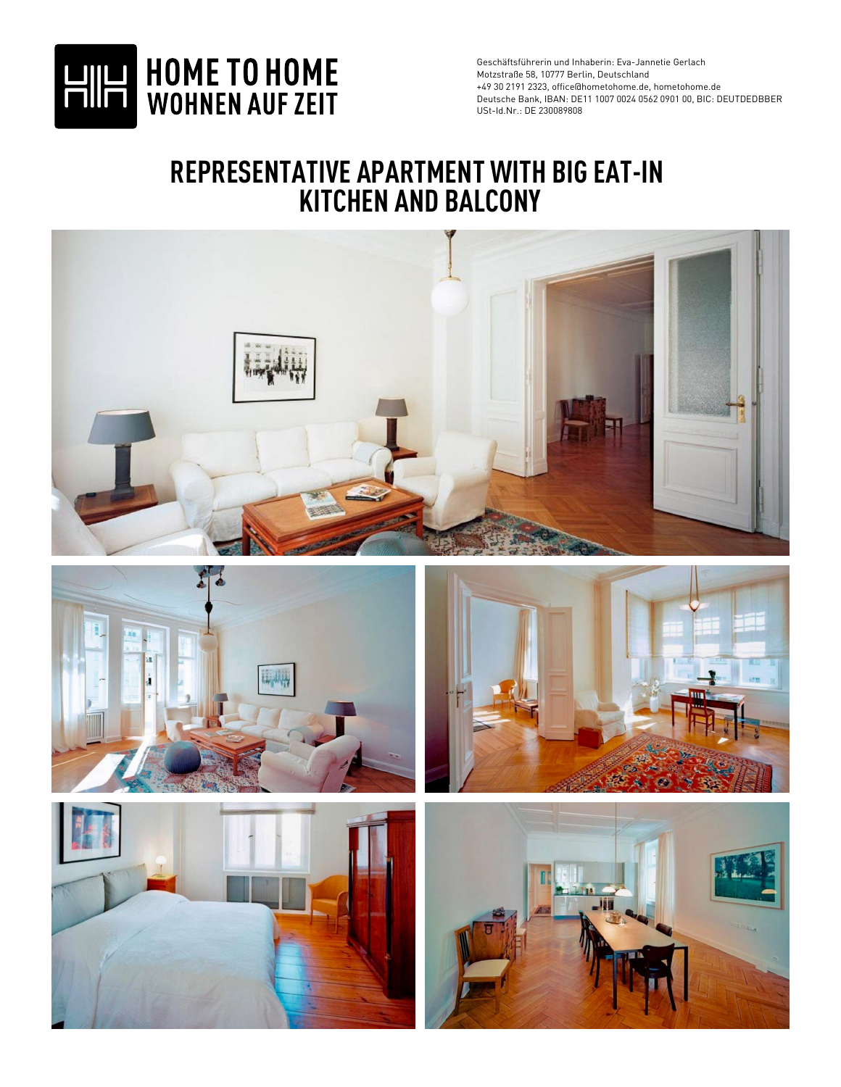

# **REPRESENTATIVE APARTMENT WITH BIG EAT-IN KITCHEN AND BALCONY**









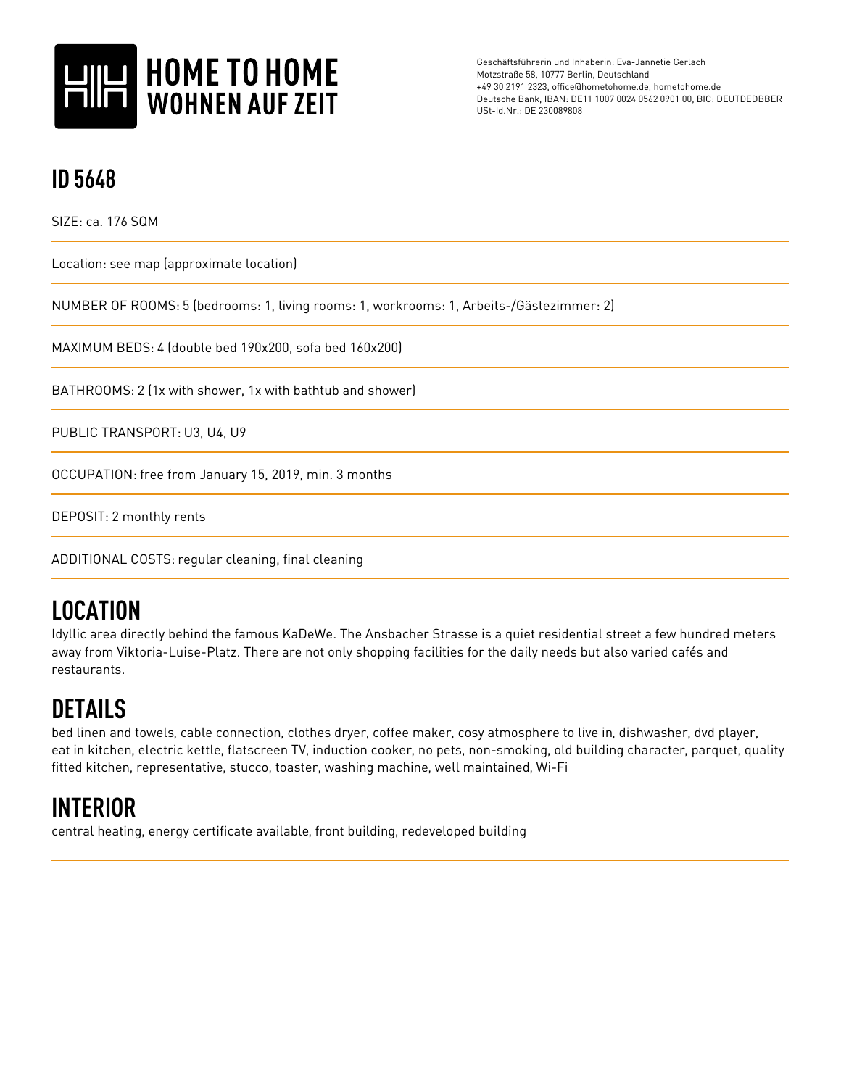

#### **ID 5648**

SIZE: ca. 176 SQM

Location: see map (approximate location)

NUMBER OF ROOMS: 5 (bedrooms: 1, living rooms: 1, workrooms: 1, Arbeits-/Gästezimmer: 2)

MAXIMUM BEDS: 4 (double bed 190x200, sofa bed 160x200)

BATHROOMS: 2 (1x with shower, 1x with bathtub and shower)

PUBLIC TRANSPORT: U3, U4, U9

OCCUPATION: free from January 15, 2019, min. 3 months

DEPOSIT: 2 monthly rents

ADDITIONAL COSTS: regular cleaning, final cleaning

### **LOCATION**

Idyllic area directly behind the famous KaDeWe. The Ansbacher Strasse is a quiet residential street a few hundred meters away from Viktoria-Luise-Platz. There are not only shopping facilities for the daily needs but also varied cafés and restaurants.

## **DETAILS**

bed linen and towels, cable connection, clothes dryer, coffee maker, cosy atmosphere to live in, dishwasher, dvd player, eat in kitchen, electric kettle, flatscreen TV, induction cooker, no pets, non-smoking, old building character, parquet, quality fitted kitchen, representative, stucco, toaster, washing machine, well maintained, Wi-Fi

## **INTERIOR**

central heating, energy certificate available, front building, redeveloped building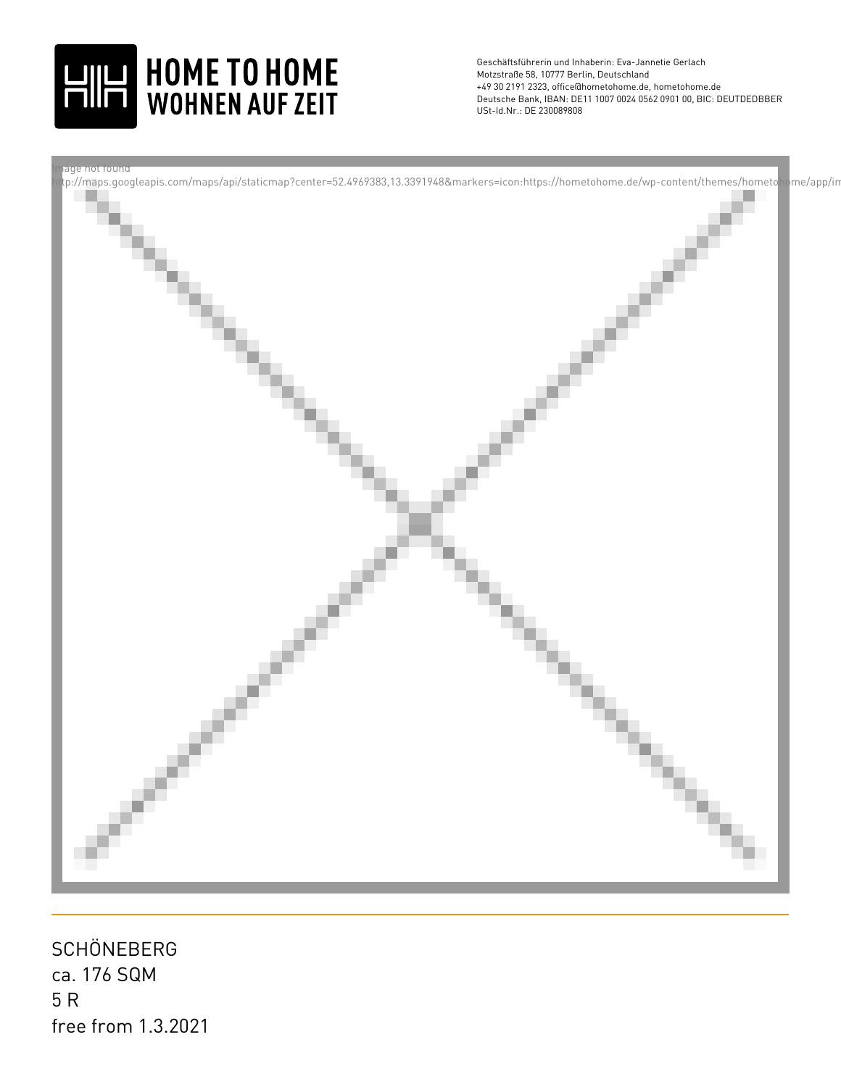



ca. 176 SQM 5 R SCHÖNEBERG free from 1.3.2021